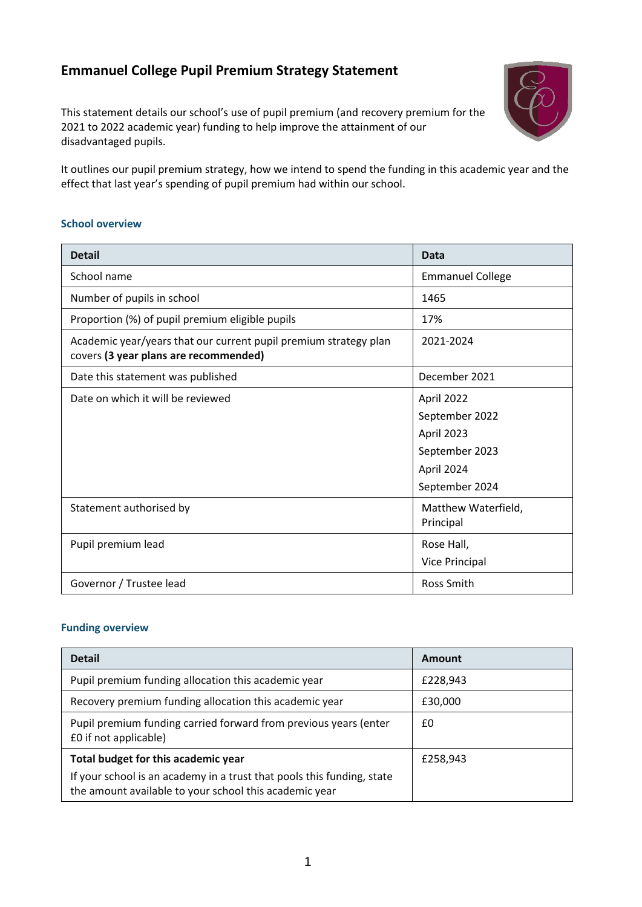# **Emmanuel College Pupil Premium Strategy Statement**

This statement details our school's use of pupil premium (and recovery premium for the 2021 to 2022 academic year) funding to help improve the attainment of our disadvantaged pupils.



It outlines our pupil premium strategy, how we intend to spend the funding in this academic year and the effect that last year's spending of pupil premium had within our school.

### **School overview**

| <b>Detail</b>                                                                                             | <b>Data</b>                                                                                  |
|-----------------------------------------------------------------------------------------------------------|----------------------------------------------------------------------------------------------|
| School name                                                                                               | <b>Emmanuel College</b>                                                                      |
| Number of pupils in school                                                                                | 1465                                                                                         |
| Proportion (%) of pupil premium eligible pupils                                                           | 17%                                                                                          |
| Academic year/years that our current pupil premium strategy plan<br>covers (3 year plans are recommended) | 2021-2024                                                                                    |
| Date this statement was published                                                                         | December 2021                                                                                |
| Date on which it will be reviewed                                                                         | April 2022<br>September 2022<br>April 2023<br>September 2023<br>April 2024<br>September 2024 |
| Statement authorised by                                                                                   | Matthew Waterfield,<br>Principal                                                             |
| Pupil premium lead                                                                                        | Rose Hall,<br>Vice Principal                                                                 |
| Governor / Trustee lead                                                                                   | Ross Smith                                                                                   |

### **Funding overview**

| <b>Detail</b>                                                                                                                    | Amount   |
|----------------------------------------------------------------------------------------------------------------------------------|----------|
| Pupil premium funding allocation this academic year                                                                              | £228,943 |
| Recovery premium funding allocation this academic year                                                                           | £30,000  |
| Pupil premium funding carried forward from previous years (enter<br>£0 if not applicable)                                        | £0       |
| Total budget for this academic year                                                                                              | £258,943 |
| If your school is an academy in a trust that pools this funding, state<br>the amount available to your school this academic year |          |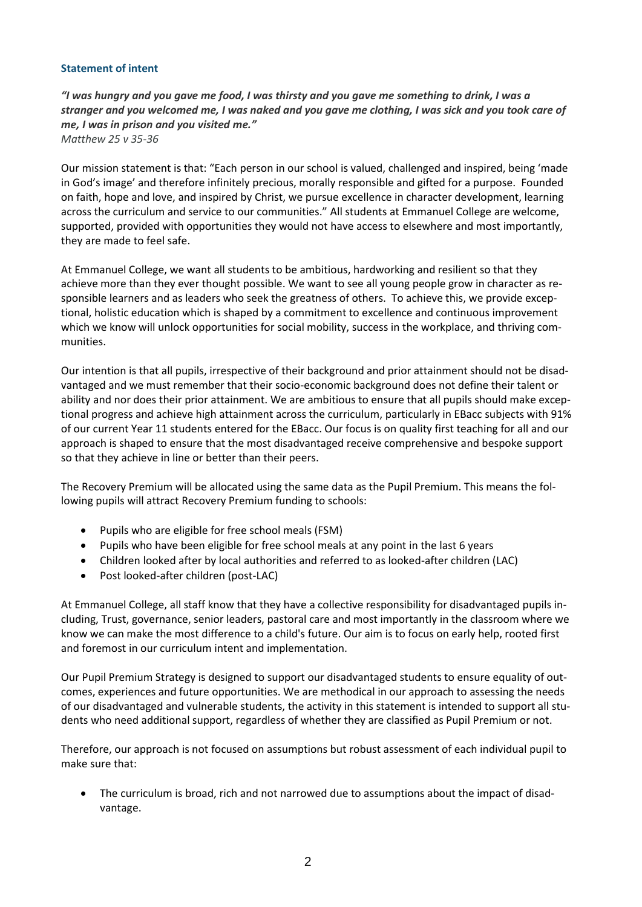### **Statement of intent**

"I was hungry and you gave me food, I was thirsty and you gave me something to drink, I was a stranger and you welcomed me, I was naked and you gave me clothing, I was sick and you took care of *me, I was in prison and you visited me." Matthew 25 v 35-36*

Our mission statement is that: "Each person in our school is valued, challenged and inspired, being 'made in God's image' and therefore infinitely precious, morally responsible and gifted for a purpose. Founded on faith, hope and love, and inspired by Christ, we pursue excellence in character development, learning across the curriculum and service to our communities." All students at Emmanuel College are welcome, supported, provided with opportunities they would not have access to elsewhere and most importantly, they are made to feel safe.

At Emmanuel College, we want all students to be ambitious, hardworking and resilient so that they achieve more than they ever thought possible. We want to see all young people grow in character as responsible learners and as leaders who seek the greatness of others. To achieve this, we provide exceptional, holistic education which is shaped by a commitment to excellence and continuous improvement which we know will unlock opportunities for social mobility, success in the workplace, and thriving communities.

Our intention is that all pupils, irrespective of their background and prior attainment should not be disadvantaged and we must remember that their socio-economic background does not define their talent or ability and nor does their prior attainment. We are ambitious to ensure that all pupils should make exceptional progress and achieve high attainment across the curriculum, particularly in EBacc subjects with 91% of our current Year 11 students entered for the EBacc. Our focus is on quality first teaching for all and our approach is shaped to ensure that the most disadvantaged receive comprehensive and bespoke support so that they achieve in line or better than their peers.

The Recovery Premium will be allocated using the same data as the Pupil Premium. This means the following pupils will attract Recovery Premium funding to schools:

- Pupils who are eligible for free school meals (FSM)
- Pupils who have been eligible for free school meals at any point in the last 6 years
- Children looked after by local authorities and referred to as looked-after children (LAC)
- Post looked-after children (post-LAC)

At Emmanuel College, all staff know that they have a collective responsibility for disadvantaged pupils including, Trust, governance, senior leaders, pastoral care and most importantly in the classroom where we know we can make the most difference to a child's future. Our aim is to focus on early help, rooted first and foremost in our curriculum intent and implementation.

Our Pupil Premium Strategy is designed to support our disadvantaged students to ensure equality of outcomes, experiences and future opportunities. We are methodical in our approach to assessing the needs of our disadvantaged and vulnerable students, the activity in this statement is intended to support all students who need additional support, regardless of whether they are classified as Pupil Premium or not.

Therefore, our approach is not focused on assumptions but robust assessment of each individual pupil to make sure that:

• The curriculum is broad, rich and not narrowed due to assumptions about the impact of disadvantage.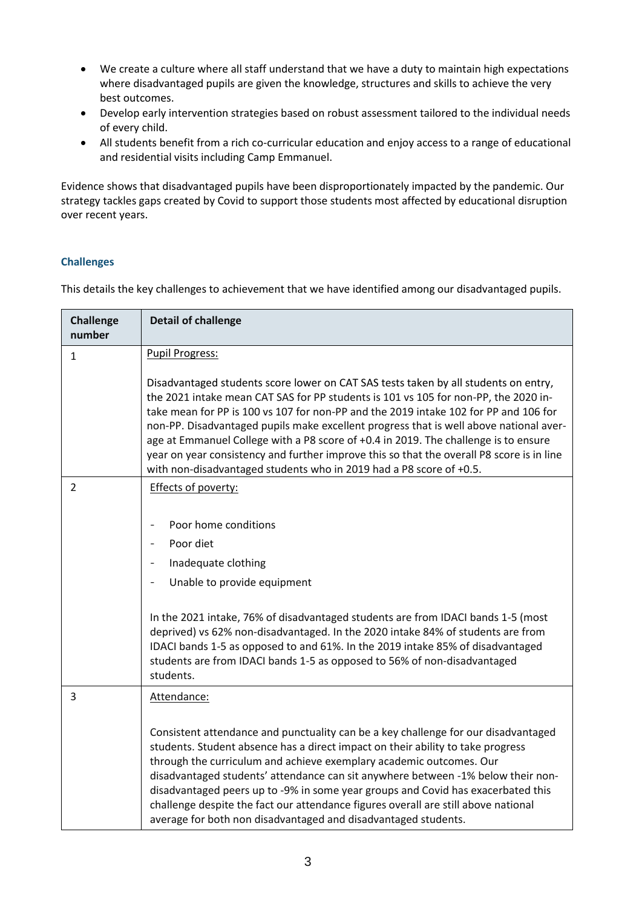- We create a culture where all staff understand that we have a duty to maintain high expectations where disadvantaged pupils are given the knowledge, structures and skills to achieve the very best outcomes.
- Develop early intervention strategies based on robust assessment tailored to the individual needs of every child.
- All students benefit from a rich co-curricular education and enjoy access to a range of educational and residential visits including Camp Emmanuel.

Evidence shows that disadvantaged pupils have been disproportionately impacted by the pandemic. Our strategy tackles gaps created by Covid to support those students most affected by educational disruption over recent years.

### **Challenges**

This details the key challenges to achievement that we have identified among our disadvantaged pupils.

| <b>Challenge</b><br>number | <b>Detail of challenge</b>                                                                                                                                                                                                                                                                                                                                                                                                                                                                                                                                                                                              |
|----------------------------|-------------------------------------------------------------------------------------------------------------------------------------------------------------------------------------------------------------------------------------------------------------------------------------------------------------------------------------------------------------------------------------------------------------------------------------------------------------------------------------------------------------------------------------------------------------------------------------------------------------------------|
| $\mathbf{1}$               | <b>Pupil Progress:</b>                                                                                                                                                                                                                                                                                                                                                                                                                                                                                                                                                                                                  |
|                            | Disadvantaged students score lower on CAT SAS tests taken by all students on entry,<br>the 2021 intake mean CAT SAS for PP students is 101 vs 105 for non-PP, the 2020 in-<br>take mean for PP is 100 vs 107 for non-PP and the 2019 intake 102 for PP and 106 for<br>non-PP. Disadvantaged pupils make excellent progress that is well above national aver-<br>age at Emmanuel College with a P8 score of +0.4 in 2019. The challenge is to ensure<br>year on year consistency and further improve this so that the overall P8 score is in line<br>with non-disadvantaged students who in 2019 had a P8 score of +0.5. |
| $\overline{2}$             | Effects of poverty:                                                                                                                                                                                                                                                                                                                                                                                                                                                                                                                                                                                                     |
|                            | Poor home conditions<br>Poor diet<br>Inadequate clothing<br>Unable to provide equipment<br>In the 2021 intake, 76% of disadvantaged students are from IDACI bands 1-5 (most<br>deprived) vs 62% non-disadvantaged. In the 2020 intake 84% of students are from<br>IDACI bands 1-5 as opposed to and 61%. In the 2019 intake 85% of disadvantaged<br>students are from IDACI bands 1-5 as opposed to 56% of non-disadvantaged<br>students.                                                                                                                                                                               |
| 3                          | Attendance:<br>Consistent attendance and punctuality can be a key challenge for our disadvantaged<br>students. Student absence has a direct impact on their ability to take progress<br>through the curriculum and achieve exemplary academic outcomes. Our<br>disadvantaged students' attendance can sit anywhere between -1% below their non-<br>disadvantaged peers up to -9% in some year groups and Covid has exacerbated this<br>challenge despite the fact our attendance figures overall are still above national<br>average for both non disadvantaged and disadvantaged students.                             |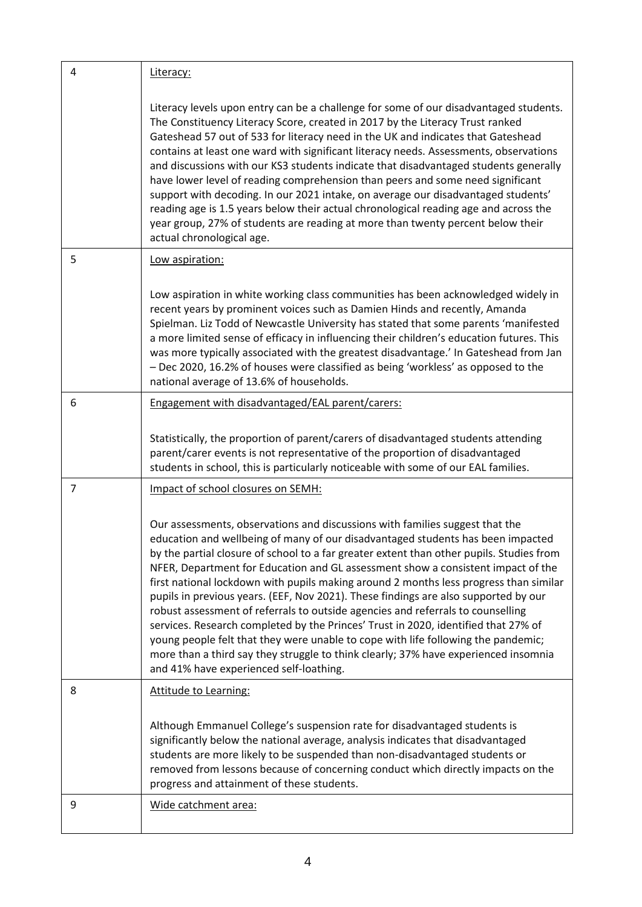| 4 | Literacy:                                                                                                                                                                                                                                                                                                                                                                                                                                                                                                                                                                                                                                                                                                                                                                                                                                                                                                                       |
|---|---------------------------------------------------------------------------------------------------------------------------------------------------------------------------------------------------------------------------------------------------------------------------------------------------------------------------------------------------------------------------------------------------------------------------------------------------------------------------------------------------------------------------------------------------------------------------------------------------------------------------------------------------------------------------------------------------------------------------------------------------------------------------------------------------------------------------------------------------------------------------------------------------------------------------------|
|   | Literacy levels upon entry can be a challenge for some of our disadvantaged students.<br>The Constituency Literacy Score, created in 2017 by the Literacy Trust ranked<br>Gateshead 57 out of 533 for literacy need in the UK and indicates that Gateshead<br>contains at least one ward with significant literacy needs. Assessments, observations<br>and discussions with our KS3 students indicate that disadvantaged students generally<br>have lower level of reading comprehension than peers and some need significant<br>support with decoding. In our 2021 intake, on average our disadvantaged students'<br>reading age is 1.5 years below their actual chronological reading age and across the<br>year group, 27% of students are reading at more than twenty percent below their<br>actual chronological age.                                                                                                      |
| 5 | Low aspiration:                                                                                                                                                                                                                                                                                                                                                                                                                                                                                                                                                                                                                                                                                                                                                                                                                                                                                                                 |
|   | Low aspiration in white working class communities has been acknowledged widely in<br>recent years by prominent voices such as Damien Hinds and recently, Amanda<br>Spielman. Liz Todd of Newcastle University has stated that some parents 'manifested<br>a more limited sense of efficacy in influencing their children's education futures. This<br>was more typically associated with the greatest disadvantage.' In Gateshead from Jan<br>- Dec 2020, 16.2% of houses were classified as being 'workless' as opposed to the<br>national average of 13.6% of households.                                                                                                                                                                                                                                                                                                                                                     |
| 6 | Engagement with disadvantaged/EAL parent/carers:                                                                                                                                                                                                                                                                                                                                                                                                                                                                                                                                                                                                                                                                                                                                                                                                                                                                                |
|   | Statistically, the proportion of parent/carers of disadvantaged students attending<br>parent/carer events is not representative of the proportion of disadvantaged<br>students in school, this is particularly noticeable with some of our EAL families.                                                                                                                                                                                                                                                                                                                                                                                                                                                                                                                                                                                                                                                                        |
| 7 | Impact of school closures on SEMH:                                                                                                                                                                                                                                                                                                                                                                                                                                                                                                                                                                                                                                                                                                                                                                                                                                                                                              |
|   | Our assessments, observations and discussions with families suggest that the<br>education and wellbeing of many of our disadvantaged students has been impacted<br>by the partial closure of school to a far greater extent than other pupils. Studies from<br>NFER, Department for Education and GL assessment show a consistent impact of the<br>first national lockdown with pupils making around 2 months less progress than similar<br>pupils in previous years. (EEF, Nov 2021). These findings are also supported by our<br>robust assessment of referrals to outside agencies and referrals to counselling<br>services. Research completed by the Princes' Trust in 2020, identified that 27% of<br>young people felt that they were unable to cope with life following the pandemic;<br>more than a third say they struggle to think clearly; 37% have experienced insomnia<br>and 41% have experienced self-loathing. |
| 8 | <b>Attitude to Learning:</b>                                                                                                                                                                                                                                                                                                                                                                                                                                                                                                                                                                                                                                                                                                                                                                                                                                                                                                    |
|   | Although Emmanuel College's suspension rate for disadvantaged students is<br>significantly below the national average, analysis indicates that disadvantaged<br>students are more likely to be suspended than non-disadvantaged students or<br>removed from lessons because of concerning conduct which directly impacts on the<br>progress and attainment of these students.                                                                                                                                                                                                                                                                                                                                                                                                                                                                                                                                                   |
| 9 | Wide catchment area:                                                                                                                                                                                                                                                                                                                                                                                                                                                                                                                                                                                                                                                                                                                                                                                                                                                                                                            |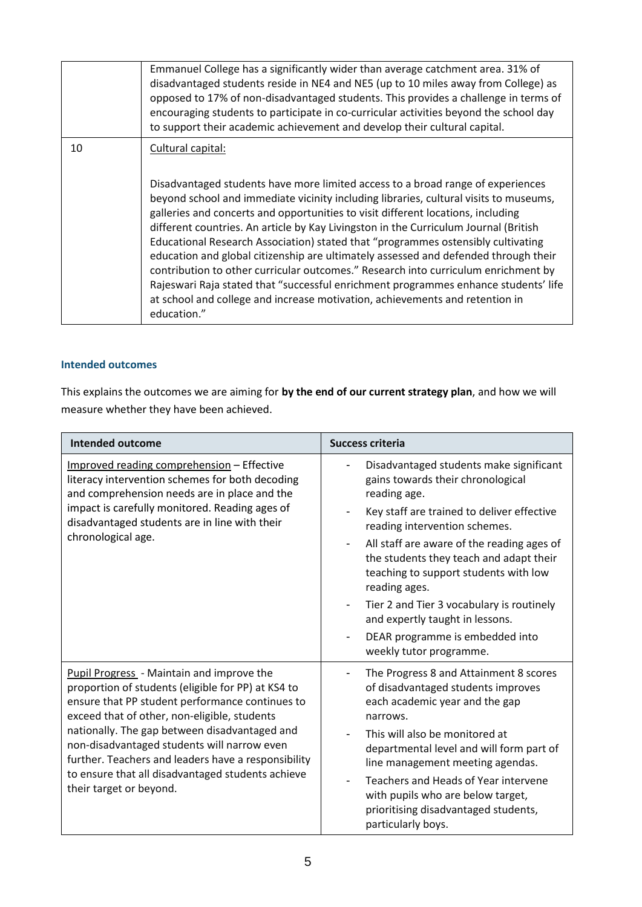|    | Emmanuel College has a significantly wider than average catchment area. 31% of<br>disadvantaged students reside in NE4 and NE5 (up to 10 miles away from College) as<br>opposed to 17% of non-disadvantaged students. This provides a challenge in terms of<br>encouraging students to participate in co-curricular activities beyond the school day<br>to support their academic achievement and develop their cultural capital.                                                                                                                                                                                                                                                                                                                                                                                                |
|----|----------------------------------------------------------------------------------------------------------------------------------------------------------------------------------------------------------------------------------------------------------------------------------------------------------------------------------------------------------------------------------------------------------------------------------------------------------------------------------------------------------------------------------------------------------------------------------------------------------------------------------------------------------------------------------------------------------------------------------------------------------------------------------------------------------------------------------|
| 10 | Cultural capital:<br>Disadvantaged students have more limited access to a broad range of experiences<br>beyond school and immediate vicinity including libraries, cultural visits to museums,<br>galleries and concerts and opportunities to visit different locations, including<br>different countries. An article by Kay Livingston in the Curriculum Journal (British<br>Educational Research Association) stated that "programmes ostensibly cultivating<br>education and global citizenship are ultimately assessed and defended through their<br>contribution to other curricular outcomes." Research into curriculum enrichment by<br>Rajeswari Raja stated that "successful enrichment programmes enhance students' life<br>at school and college and increase motivation, achievements and retention in<br>education." |

### **Intended outcomes**

This explains the outcomes we are aiming for **by the end of our current strategy plan**, and how we will measure whether they have been achieved.

| Intended outcome                                                                                                                                                                                                                                                                                                                                                                                                                                 | <b>Success criteria</b>                                                                                                                                                                                                                                                                                                                                                                                                                                                                                  |  |
|--------------------------------------------------------------------------------------------------------------------------------------------------------------------------------------------------------------------------------------------------------------------------------------------------------------------------------------------------------------------------------------------------------------------------------------------------|----------------------------------------------------------------------------------------------------------------------------------------------------------------------------------------------------------------------------------------------------------------------------------------------------------------------------------------------------------------------------------------------------------------------------------------------------------------------------------------------------------|--|
| Improved reading comprehension - Effective<br>literacy intervention schemes for both decoding<br>and comprehension needs are in place and the<br>impact is carefully monitored. Reading ages of<br>disadvantaged students are in line with their<br>chronological age.                                                                                                                                                                           | Disadvantaged students make significant<br>gains towards their chronological<br>reading age.<br>Key staff are trained to deliver effective<br>reading intervention schemes.<br>All staff are aware of the reading ages of<br>the students they teach and adapt their<br>teaching to support students with low<br>reading ages.<br>Tier 2 and Tier 3 vocabulary is routinely<br>$\overline{\phantom{a}}$<br>and expertly taught in lessons.<br>DEAR programme is embedded into<br>weekly tutor programme. |  |
| <b>Pupil Progress</b> - Maintain and improve the<br>proportion of students (eligible for PP) at KS4 to<br>ensure that PP student performance continues to<br>exceed that of other, non-eligible, students<br>nationally. The gap between disadvantaged and<br>non-disadvantaged students will narrow even<br>further. Teachers and leaders have a responsibility<br>to ensure that all disadvantaged students achieve<br>their target or beyond. | The Progress 8 and Attainment 8 scores<br>of disadvantaged students improves<br>each academic year and the gap<br>narrows.<br>This will also be monitored at<br>departmental level and will form part of<br>line management meeting agendas.<br>Teachers and Heads of Year intervene<br>with pupils who are below target,<br>prioritising disadvantaged students,<br>particularly boys.                                                                                                                  |  |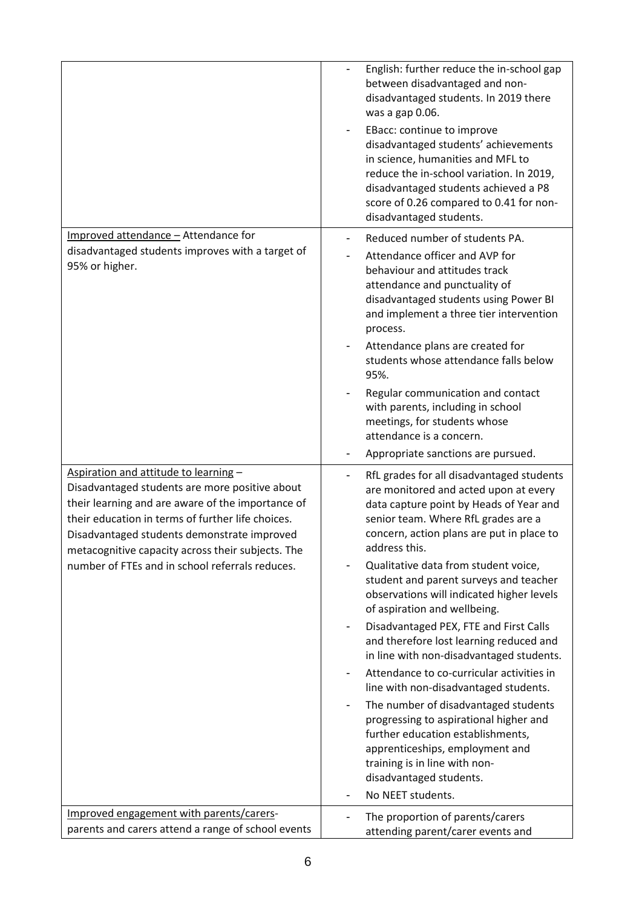|                                                                                                                                                                                                                                                                                                       | English: further reduce the in-school gap<br>between disadvantaged and non-<br>disadvantaged students. In 2019 there<br>was a gap 0.06.<br>EBacc: continue to improve<br>disadvantaged students' achievements<br>in science, humanities and MFL to<br>reduce the in-school variation. In 2019,<br>disadvantaged students achieved a P8<br>score of 0.26 compared to 0.41 for non-<br>disadvantaged students. |
|-------------------------------------------------------------------------------------------------------------------------------------------------------------------------------------------------------------------------------------------------------------------------------------------------------|--------------------------------------------------------------------------------------------------------------------------------------------------------------------------------------------------------------------------------------------------------------------------------------------------------------------------------------------------------------------------------------------------------------|
| Improved attendance - Attendance for<br>disadvantaged students improves with a target of<br>95% or higher.                                                                                                                                                                                            | Reduced number of students PA.<br>Attendance officer and AVP for<br>behaviour and attitudes track<br>attendance and punctuality of<br>disadvantaged students using Power BI<br>and implement a three tier intervention<br>process.<br>Attendance plans are created for<br>students whose attendance falls below<br>95%.                                                                                      |
|                                                                                                                                                                                                                                                                                                       | Regular communication and contact<br>with parents, including in school<br>meetings, for students whose<br>attendance is a concern.<br>Appropriate sanctions are pursued.                                                                                                                                                                                                                                     |
| Aspiration and attitude to learning -<br>Disadvantaged students are more positive about<br>their learning and are aware of the importance of<br>their education in terms of further life choices.<br>Disadvantaged students demonstrate improved<br>metacognitive capacity across their subjects. The | RfL grades for all disadvantaged students<br>are monitored and acted upon at every<br>data capture point by Heads of Year and<br>senior team. Where RfL grades are a<br>concern, action plans are put in place to<br>address this.                                                                                                                                                                           |
| number of FTEs and in school referrals reduces.                                                                                                                                                                                                                                                       | Qualitative data from student voice,<br>student and parent surveys and teacher<br>observations will indicated higher levels<br>of aspiration and wellbeing.                                                                                                                                                                                                                                                  |
|                                                                                                                                                                                                                                                                                                       | Disadvantaged PEX, FTE and First Calls<br>and therefore lost learning reduced and<br>in line with non-disadvantaged students.<br>Attendance to co-curricular activities in                                                                                                                                                                                                                                   |
|                                                                                                                                                                                                                                                                                                       | line with non-disadvantaged students.<br>The number of disadvantaged students                                                                                                                                                                                                                                                                                                                                |
|                                                                                                                                                                                                                                                                                                       | progressing to aspirational higher and<br>further education establishments,<br>apprenticeships, employment and<br>training is in line with non-<br>disadvantaged students.                                                                                                                                                                                                                                   |
|                                                                                                                                                                                                                                                                                                       | No NEET students.                                                                                                                                                                                                                                                                                                                                                                                            |
| Improved engagement with parents/carers-<br>parents and carers attend a range of school events                                                                                                                                                                                                        | The proportion of parents/carers<br>attending parent/carer events and                                                                                                                                                                                                                                                                                                                                        |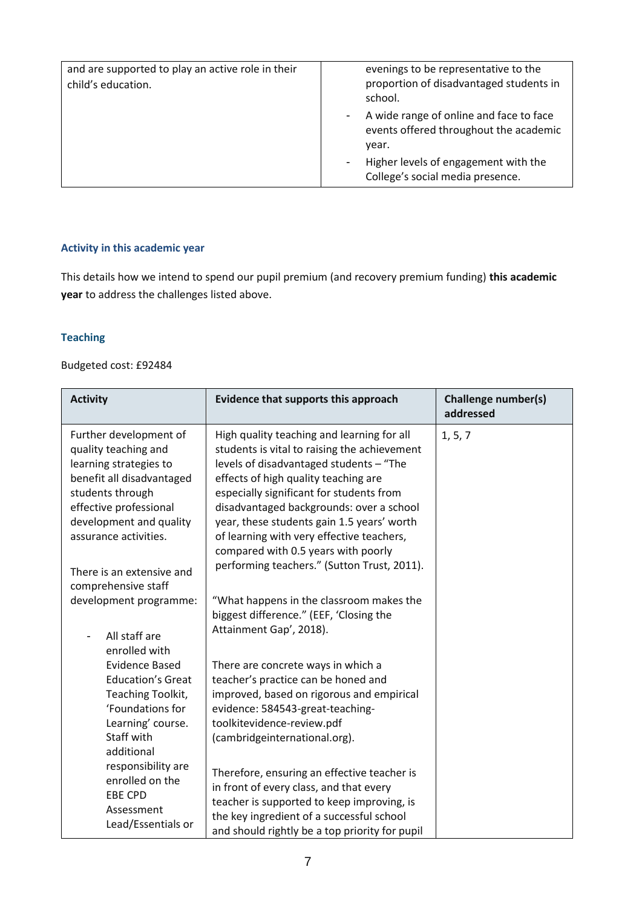| and are supported to play an active role in their<br>child's education. | evenings to be representative to the<br>proportion of disadvantaged students in<br>school.                                                                             |
|-------------------------------------------------------------------------|------------------------------------------------------------------------------------------------------------------------------------------------------------------------|
|                                                                         | A wide range of online and face to face<br>events offered throughout the academic<br>year.<br>Higher levels of engagement with the<br>College's social media presence. |

### **Activity in this academic year**

This details how we intend to spend our pupil premium (and recovery premium funding) **this academic year** to address the challenges listed above.

## **Teaching**

### Budgeted cost: £92484

| <b>Activity</b>                                                                                                                                                                                                                      | Evidence that supports this approach                                                                                                                                                                                                                                                                                                                                                                                                                   | <b>Challenge number(s)</b><br>addressed |
|--------------------------------------------------------------------------------------------------------------------------------------------------------------------------------------------------------------------------------------|--------------------------------------------------------------------------------------------------------------------------------------------------------------------------------------------------------------------------------------------------------------------------------------------------------------------------------------------------------------------------------------------------------------------------------------------------------|-----------------------------------------|
| Further development of<br>quality teaching and<br>learning strategies to<br>benefit all disadvantaged<br>students through<br>effective professional<br>development and quality<br>assurance activities.<br>There is an extensive and | High quality teaching and learning for all<br>students is vital to raising the achievement<br>levels of disadvantaged students - "The<br>effects of high quality teaching are<br>especially significant for students from<br>disadvantaged backgrounds: over a school<br>year, these students gain 1.5 years' worth<br>of learning with very effective teachers,<br>compared with 0.5 years with poorly<br>performing teachers." (Sutton Trust, 2011). | 1, 5, 7                                 |
| comprehensive staff<br>development programme:<br>All staff are<br>enrolled with                                                                                                                                                      | "What happens in the classroom makes the<br>biggest difference." (EEF, 'Closing the<br>Attainment Gap', 2018).                                                                                                                                                                                                                                                                                                                                         |                                         |
| <b>Evidence Based</b><br><b>Education's Great</b><br>Teaching Toolkit,<br>'Foundations for<br>Learning' course.<br>Staff with<br>additional                                                                                          | There are concrete ways in which a<br>teacher's practice can be honed and<br>improved, based on rigorous and empirical<br>evidence: 584543-great-teaching-<br>toolkitevidence-review.pdf<br>(cambridgeinternational.org).                                                                                                                                                                                                                              |                                         |
| responsibility are<br>enrolled on the<br><b>EBE CPD</b><br>Assessment<br>Lead/Essentials or                                                                                                                                          | Therefore, ensuring an effective teacher is<br>in front of every class, and that every<br>teacher is supported to keep improving, is<br>the key ingredient of a successful school<br>and should rightly be a top priority for pupil                                                                                                                                                                                                                    |                                         |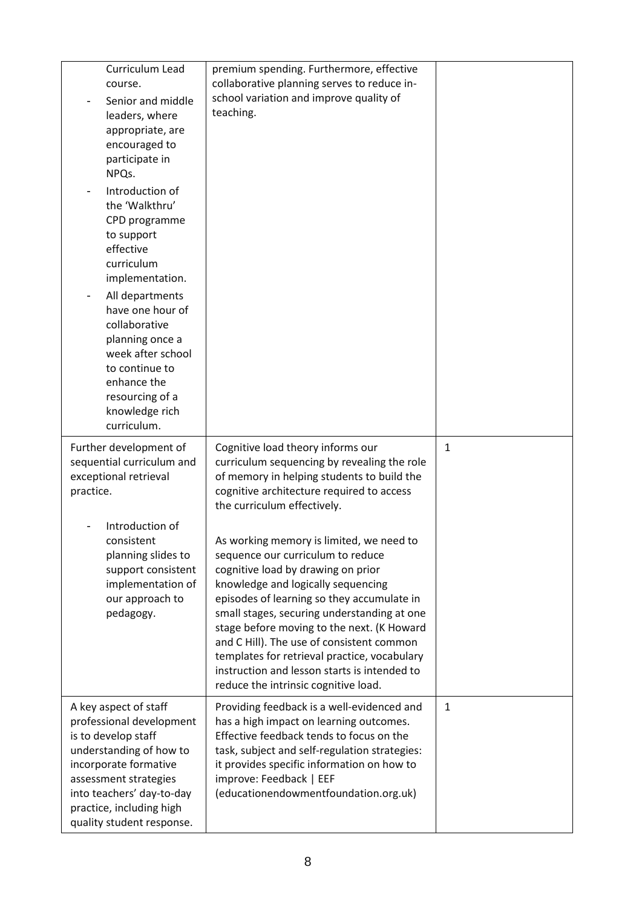| Curriculum Lead<br>course.<br>Senior and middle<br>leaders, where<br>appropriate, are<br>encouraged to<br>participate in<br>NPQs.<br>Introduction of<br>the 'Walkthru'<br>CPD programme<br>to support<br>effective<br>curriculum<br>implementation.<br>All departments<br>have one hour of<br>collaborative<br>planning once a<br>week after school<br>to continue to<br>enhance the<br>resourcing of a<br>knowledge rich<br>curriculum. | premium spending. Furthermore, effective<br>collaborative planning serves to reduce in-<br>school variation and improve quality of<br>teaching.                                                                                                                                                                                                                                                                                                                                                                                                                 |              |
|------------------------------------------------------------------------------------------------------------------------------------------------------------------------------------------------------------------------------------------------------------------------------------------------------------------------------------------------------------------------------------------------------------------------------------------|-----------------------------------------------------------------------------------------------------------------------------------------------------------------------------------------------------------------------------------------------------------------------------------------------------------------------------------------------------------------------------------------------------------------------------------------------------------------------------------------------------------------------------------------------------------------|--------------|
| Further development of<br>sequential curriculum and<br>exceptional retrieval<br>practice.<br>Introduction of<br>consistent<br>planning slides to<br>support consistent<br>implementation of<br>our approach to<br>pedagogy.                                                                                                                                                                                                              | Cognitive load theory informs our<br>curriculum sequencing by revealing the role<br>of memory in helping students to build the<br>cognitive architecture required to access<br>the curriculum effectively.<br>As working memory is limited, we need to<br>sequence our curriculum to reduce<br>cognitive load by drawing on prior<br>knowledge and logically sequencing<br>episodes of learning so they accumulate in<br>small stages, securing understanding at one<br>stage before moving to the next. (K Howard<br>and C Hill). The use of consistent common | $1\,$        |
|                                                                                                                                                                                                                                                                                                                                                                                                                                          | templates for retrieval practice, vocabulary<br>instruction and lesson starts is intended to<br>reduce the intrinsic cognitive load.                                                                                                                                                                                                                                                                                                                                                                                                                            |              |
| A key aspect of staff<br>professional development<br>is to develop staff<br>understanding of how to<br>incorporate formative<br>assessment strategies<br>into teachers' day-to-day<br>practice, including high<br>quality student response.                                                                                                                                                                                              | Providing feedback is a well-evidenced and<br>has a high impact on learning outcomes.<br>Effective feedback tends to focus on the<br>task, subject and self-regulation strategies:<br>it provides specific information on how to<br>improve: Feedback   EEF<br>(educationendowmentfoundation.org.uk)                                                                                                                                                                                                                                                            | $\mathbf{1}$ |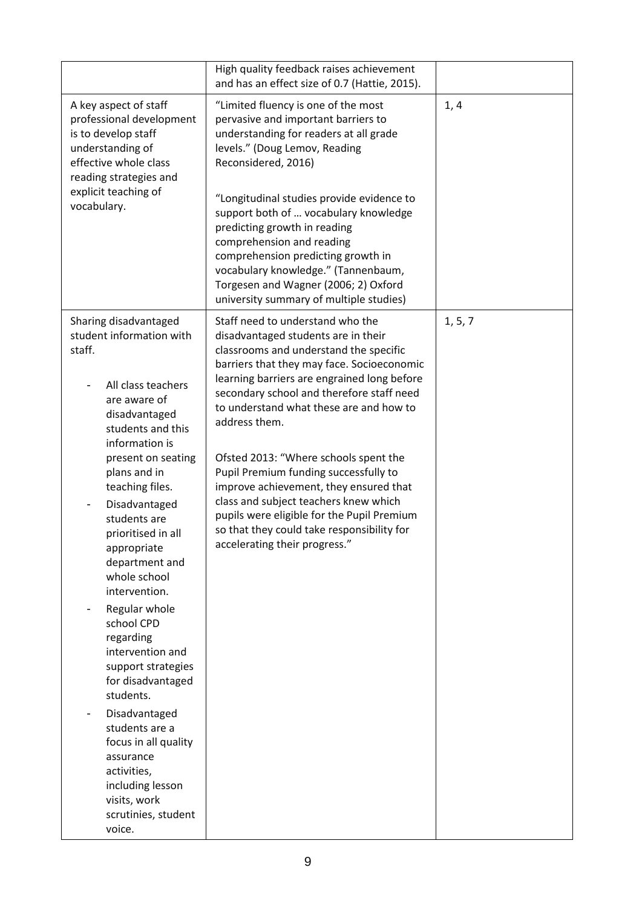| A key aspect of staff<br>professional development                                                                                                                                                                                                                                                                                                                                                                                                                                                                                                                                                               | "Limited fluency is one of the most<br>pervasive and important barriers to<br>understanding for readers at all grade<br>levels." (Doug Lemov, Reading                                                                                                                                                                                                                                                                                                                                                                                                                                                    | 1, 4    |
|-----------------------------------------------------------------------------------------------------------------------------------------------------------------------------------------------------------------------------------------------------------------------------------------------------------------------------------------------------------------------------------------------------------------------------------------------------------------------------------------------------------------------------------------------------------------------------------------------------------------|----------------------------------------------------------------------------------------------------------------------------------------------------------------------------------------------------------------------------------------------------------------------------------------------------------------------------------------------------------------------------------------------------------------------------------------------------------------------------------------------------------------------------------------------------------------------------------------------------------|---------|
| is to develop staff<br>understanding of<br>effective whole class<br>Reconsidered, 2016)<br>reading strategies and<br>explicit teaching of<br>vocabulary.                                                                                                                                                                                                                                                                                                                                                                                                                                                        | "Longitudinal studies provide evidence to<br>support both of  vocabulary knowledge<br>predicting growth in reading<br>comprehension and reading<br>comprehension predicting growth in<br>vocabulary knowledge." (Tannenbaum,<br>Torgesen and Wagner (2006; 2) Oxford<br>university summary of multiple studies)                                                                                                                                                                                                                                                                                          |         |
| Sharing disadvantaged<br>student information with<br>staff.<br>All class teachers<br>are aware of<br>disadvantaged<br>address them.<br>students and this<br>information is<br>present on seating<br>plans and in<br>teaching files.<br>Disadvantaged<br>students are<br>prioritised in all<br>appropriate<br>department and<br>whole school<br>intervention.<br>Regular whole<br>school CPD<br>regarding<br>intervention and<br>support strategies<br>for disadvantaged<br>students.<br>Disadvantaged<br>students are a<br>focus in all quality<br>assurance<br>activities,<br>including lesson<br>visits, work | Staff need to understand who the<br>disadvantaged students are in their<br>classrooms and understand the specific<br>barriers that they may face. Socioeconomic<br>learning barriers are engrained long before<br>secondary school and therefore staff need<br>to understand what these are and how to<br>Ofsted 2013: "Where schools spent the<br>Pupil Premium funding successfully to<br>improve achievement, they ensured that<br>class and subject teachers knew which<br>pupils were eligible for the Pupil Premium<br>so that they could take responsibility for<br>accelerating their progress." | 1, 5, 7 |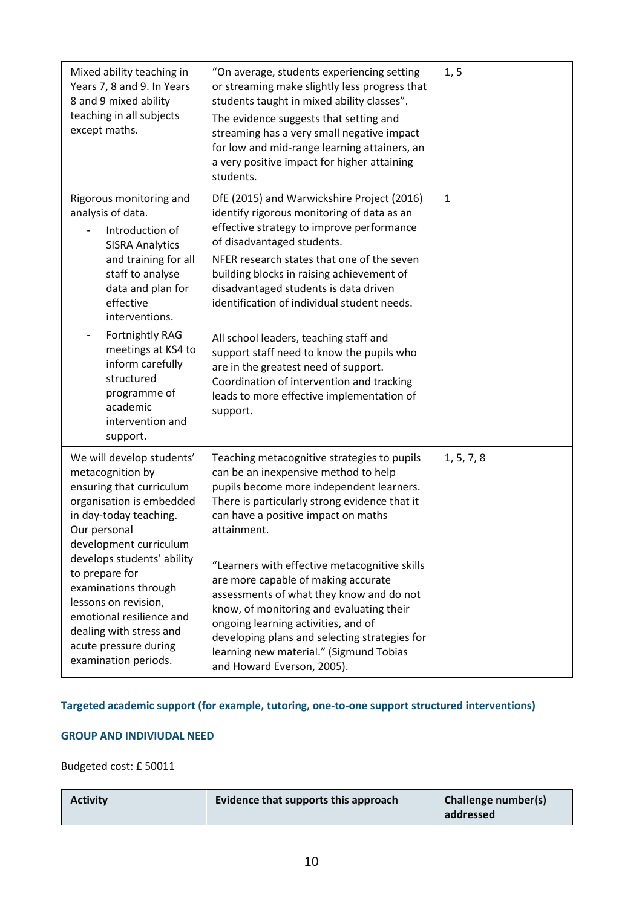| Mixed ability teaching in<br>Years 7, 8 and 9. In Years<br>8 and 9 mixed ability<br>teaching in all subjects<br>except maths.                                                                                                                                                                                                                                                     | "On average, students experiencing setting<br>or streaming make slightly less progress that<br>students taught in mixed ability classes".<br>The evidence suggests that setting and<br>streaming has a very small negative impact<br>for low and mid-range learning attainers, an<br>a very positive impact for higher attaining<br>students.                                                                                                                                                                                                                                               | 1, 5         |
|-----------------------------------------------------------------------------------------------------------------------------------------------------------------------------------------------------------------------------------------------------------------------------------------------------------------------------------------------------------------------------------|---------------------------------------------------------------------------------------------------------------------------------------------------------------------------------------------------------------------------------------------------------------------------------------------------------------------------------------------------------------------------------------------------------------------------------------------------------------------------------------------------------------------------------------------------------------------------------------------|--------------|
| Rigorous monitoring and<br>analysis of data.<br>Introduction of<br><b>SISRA Analytics</b><br>and training for all<br>staff to analyse<br>data and plan for<br>effective<br>interventions.<br>Fortnightly RAG<br>meetings at KS4 to<br>inform carefully<br>structured<br>programme of<br>academic<br>intervention and<br>support.                                                  | DfE (2015) and Warwickshire Project (2016)<br>identify rigorous monitoring of data as an<br>effective strategy to improve performance<br>of disadvantaged students.<br>NFER research states that one of the seven<br>building blocks in raising achievement of<br>disadvantaged students is data driven<br>identification of individual student needs.<br>All school leaders, teaching staff and<br>support staff need to know the pupils who<br>are in the greatest need of support.<br>Coordination of intervention and tracking<br>leads to more effective implementation of<br>support. | $\mathbf{1}$ |
| We will develop students'<br>metacognition by<br>ensuring that curriculum<br>organisation is embedded<br>in day-today teaching.<br>Our personal<br>development curriculum<br>develops students' ability<br>to prepare for<br>examinations through<br>lessons on revision,<br>emotional resilience and<br>dealing with stress and<br>acute pressure during<br>examination periods. | Teaching metacognitive strategies to pupils<br>can be an inexpensive method to help<br>pupils become more independent learners.<br>There is particularly strong evidence that it<br>can have a positive impact on maths<br>attainment.<br>"Learners with effective metacognitive skills<br>are more capable of making accurate<br>assessments of what they know and do not<br>know, of monitoring and evaluating their<br>ongoing learning activities, and of<br>developing plans and selecting strategies for<br>learning new material." (Sigmund Tobias<br>and Howard Everson, 2005).     | 1, 5, 7, 8   |

## **Targeted academic support (for example, tutoring, one-to-one support structured interventions)**

### **GROUP AND INDIVIUDAL NEED**

Budgeted cost: £ 50011

| Evidence that supports this approach | <b>Challenge number(s)</b> |
|--------------------------------------|----------------------------|
| <b>Activity</b>                      | addressed                  |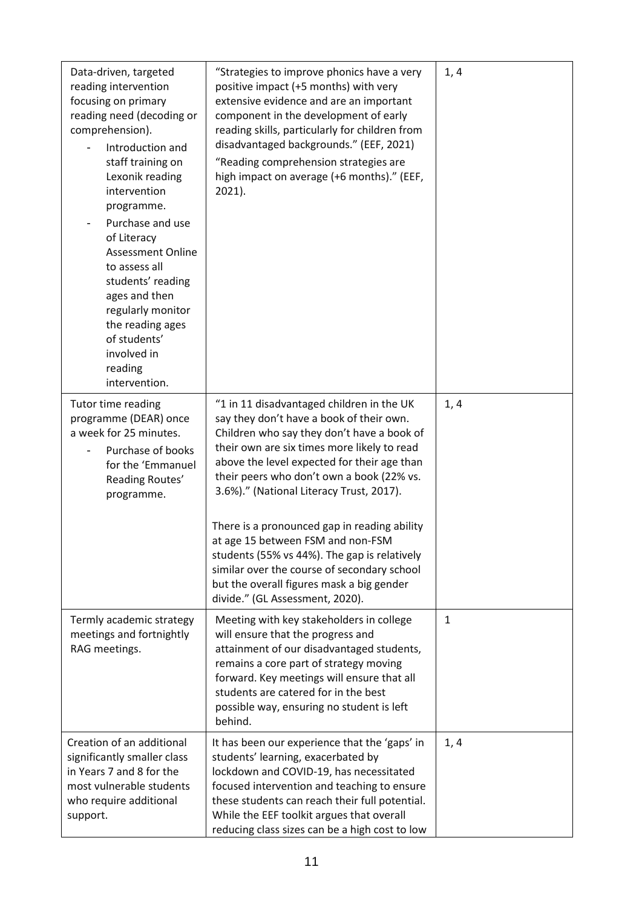| Data-driven, targeted<br>reading intervention<br>focusing on primary<br>reading need (decoding or<br>comprehension).<br>Introduction and<br>staff training on<br>Lexonik reading<br>intervention<br>programme.<br>Purchase and use<br>of Literacy<br><b>Assessment Online</b><br>to assess all<br>students' reading<br>ages and then<br>regularly monitor<br>the reading ages<br>of students'<br>involved in<br>reading<br>intervention. | "Strategies to improve phonics have a very<br>positive impact (+5 months) with very<br>extensive evidence and are an important<br>component in the development of early<br>reading skills, particularly for children from<br>disadvantaged backgrounds." (EEF, 2021)<br>"Reading comprehension strategies are<br>high impact on average (+6 months)." (EEF,<br>$2021$ ).                                                                                                                                                                                                                       | 1, 4 |
|------------------------------------------------------------------------------------------------------------------------------------------------------------------------------------------------------------------------------------------------------------------------------------------------------------------------------------------------------------------------------------------------------------------------------------------|------------------------------------------------------------------------------------------------------------------------------------------------------------------------------------------------------------------------------------------------------------------------------------------------------------------------------------------------------------------------------------------------------------------------------------------------------------------------------------------------------------------------------------------------------------------------------------------------|------|
| Tutor time reading<br>programme (DEAR) once<br>a week for 25 minutes.<br>Purchase of books<br>for the 'Emmanuel<br>Reading Routes'<br>programme.                                                                                                                                                                                                                                                                                         | "1 in 11 disadvantaged children in the UK<br>say they don't have a book of their own.<br>Children who say they don't have a book of<br>their own are six times more likely to read<br>above the level expected for their age than<br>their peers who don't own a book (22% vs.<br>3.6%)." (National Literacy Trust, 2017).<br>There is a pronounced gap in reading ability<br>at age 15 between FSM and non-FSM<br>students (55% vs 44%). The gap is relatively<br>similar over the course of secondary school<br>but the overall figures mask a big gender<br>divide." (GL Assessment, 2020). | 1, 4 |
| Termly academic strategy<br>meetings and fortnightly<br>RAG meetings.                                                                                                                                                                                                                                                                                                                                                                    | Meeting with key stakeholders in college<br>will ensure that the progress and<br>attainment of our disadvantaged students,<br>remains a core part of strategy moving<br>forward. Key meetings will ensure that all<br>students are catered for in the best<br>possible way, ensuring no student is left<br>behind.                                                                                                                                                                                                                                                                             | 1    |
| Creation of an additional<br>significantly smaller class<br>in Years 7 and 8 for the<br>most vulnerable students<br>who require additional<br>support.                                                                                                                                                                                                                                                                                   | It has been our experience that the 'gaps' in<br>students' learning, exacerbated by<br>lockdown and COVID-19, has necessitated<br>focused intervention and teaching to ensure<br>these students can reach their full potential.<br>While the EEF toolkit argues that overall<br>reducing class sizes can be a high cost to low                                                                                                                                                                                                                                                                 | 1, 4 |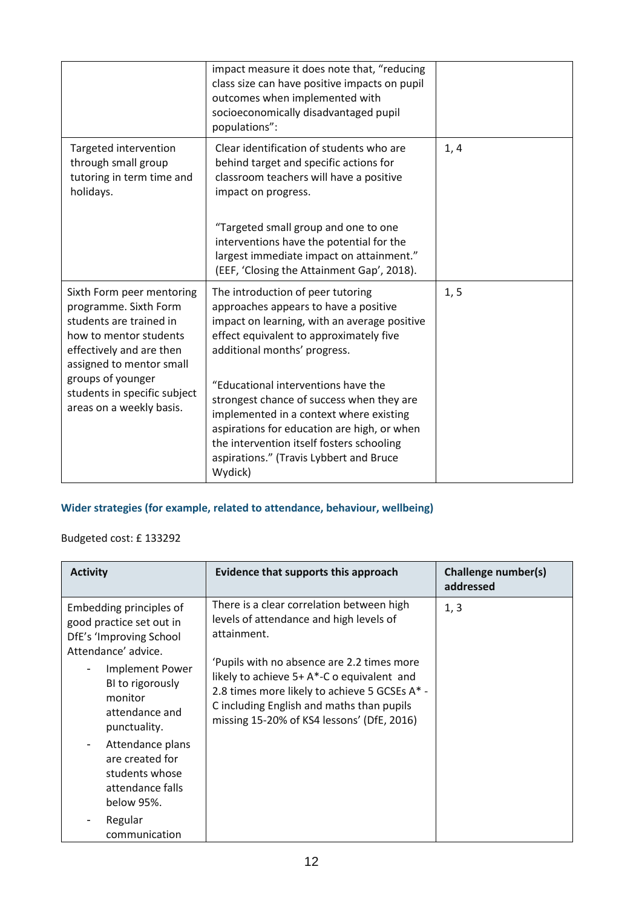|                                                                                                                                                                 | impact measure it does note that, "reducing<br>class size can have positive impacts on pupil<br>outcomes when implemented with<br>socioeconomically disadvantaged pupil<br>populations":                                                                                      |      |
|-----------------------------------------------------------------------------------------------------------------------------------------------------------------|-------------------------------------------------------------------------------------------------------------------------------------------------------------------------------------------------------------------------------------------------------------------------------|------|
| Targeted intervention<br>through small group<br>tutoring in term time and<br>holidays.                                                                          | Clear identification of students who are<br>behind target and specific actions for<br>classroom teachers will have a positive<br>impact on progress.                                                                                                                          | 1, 4 |
|                                                                                                                                                                 | "Targeted small group and one to one<br>interventions have the potential for the<br>largest immediate impact on attainment."<br>(EEF, 'Closing the Attainment Gap', 2018).                                                                                                    |      |
| Sixth Form peer mentoring<br>programme. Sixth Form<br>students are trained in<br>how to mentor students<br>effectively and are then<br>assigned to mentor small | The introduction of peer tutoring<br>approaches appears to have a positive<br>impact on learning, with an average positive<br>effect equivalent to approximately five<br>additional months' progress.                                                                         | 1, 5 |
| groups of younger<br>students in specific subject<br>areas on a weekly basis.                                                                                   | "Educational interventions have the<br>strongest chance of success when they are<br>implemented in a context where existing<br>aspirations for education are high, or when<br>the intervention itself fosters schooling<br>aspirations." (Travis Lybbert and Bruce<br>Wydick) |      |

# **Wider strategies (for example, related to attendance, behaviour, wellbeing)**

## Budgeted cost: £ 133292

| <b>Activity</b>                                                                                                                                                                                                                                                                             | Evidence that supports this approach                                                                                                                                                                                                                                                                                                        | Challenge number(s)<br>addressed |
|---------------------------------------------------------------------------------------------------------------------------------------------------------------------------------------------------------------------------------------------------------------------------------------------|---------------------------------------------------------------------------------------------------------------------------------------------------------------------------------------------------------------------------------------------------------------------------------------------------------------------------------------------|----------------------------------|
| Embedding principles of<br>good practice set out in<br>DfE's 'Improving School<br>Attendance' advice.<br><b>Implement Power</b><br>BI to rigorously<br>monitor<br>attendance and<br>punctuality.<br>Attendance plans<br>are created for<br>students whose<br>attendance falls<br>below 95%. | There is a clear correlation between high<br>levels of attendance and high levels of<br>attainment.<br>'Pupils with no absence are 2.2 times more<br>likely to achieve 5+ A*-C o equivalent and<br>2.8 times more likely to achieve 5 GCSEs A* -<br>C including English and maths than pupils<br>missing 15-20% of KS4 lessons' (DfE, 2016) | 1, 3                             |
| Regular<br>communication                                                                                                                                                                                                                                                                    |                                                                                                                                                                                                                                                                                                                                             |                                  |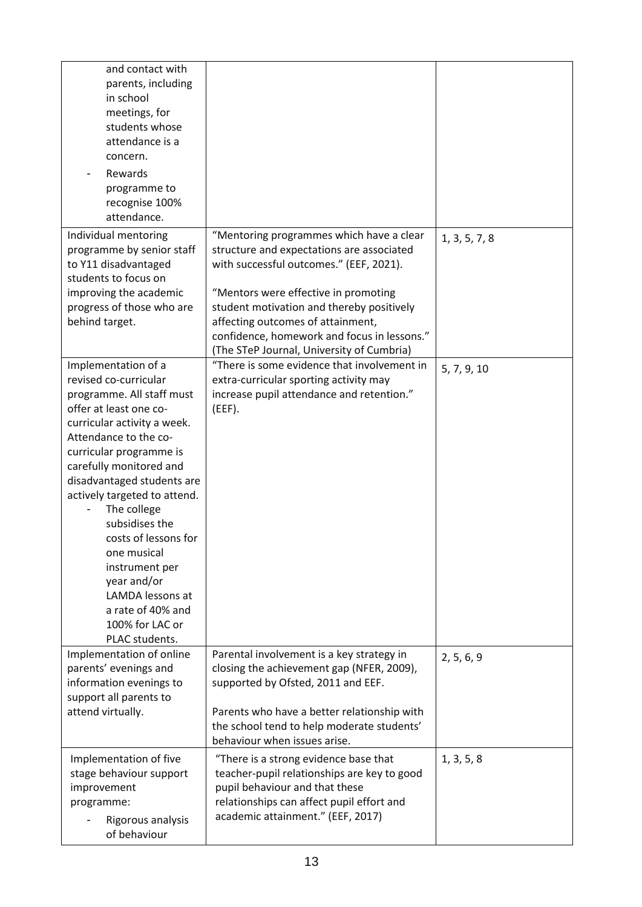| and contact with<br>parents, including<br>in school<br>meetings, for<br>students whose<br>attendance is a |                                                                                          |               |
|-----------------------------------------------------------------------------------------------------------|------------------------------------------------------------------------------------------|---------------|
| concern.<br>Rewards                                                                                       |                                                                                          |               |
| programme to<br>recognise 100%<br>attendance.                                                             |                                                                                          |               |
| Individual mentoring                                                                                      | "Mentoring programmes which have a clear                                                 | 1, 3, 5, 7, 8 |
| programme by senior staff                                                                                 | structure and expectations are associated                                                |               |
| to Y11 disadvantaged<br>students to focus on                                                              | with successful outcomes." (EEF, 2021).                                                  |               |
| improving the academic                                                                                    | "Mentors were effective in promoting                                                     |               |
| progress of those who are                                                                                 | student motivation and thereby positively                                                |               |
| behind target.                                                                                            | affecting outcomes of attainment,                                                        |               |
|                                                                                                           | confidence, homework and focus in lessons."                                              |               |
| Implementation of a                                                                                       | (The STeP Journal, University of Cumbria)<br>"There is some evidence that involvement in |               |
| revised co-curricular                                                                                     | extra-curricular sporting activity may                                                   | 5, 7, 9, 10   |
| programme. All staff must                                                                                 | increase pupil attendance and retention."                                                |               |
| offer at least one co-                                                                                    | (EEF).                                                                                   |               |
| curricular activity a week.                                                                               |                                                                                          |               |
| Attendance to the co-                                                                                     |                                                                                          |               |
| curricular programme is<br>carefully monitored and                                                        |                                                                                          |               |
| disadvantaged students are                                                                                |                                                                                          |               |
| actively targeted to attend.                                                                              |                                                                                          |               |
| The college                                                                                               |                                                                                          |               |
| subsidises the                                                                                            |                                                                                          |               |
| costs of lessons for<br>one musical                                                                       |                                                                                          |               |
| instrument per                                                                                            |                                                                                          |               |
| year and/or                                                                                               |                                                                                          |               |
| LAMDA lessons at                                                                                          |                                                                                          |               |
| a rate of 40% and                                                                                         |                                                                                          |               |
| 100% for LAC or<br>PLAC students.                                                                         |                                                                                          |               |
| Implementation of online                                                                                  | Parental involvement is a key strategy in                                                |               |
| parents' evenings and                                                                                     | closing the achievement gap (NFER, 2009),                                                | 2, 5, 6, 9    |
| information evenings to                                                                                   | supported by Ofsted, 2011 and EEF.                                                       |               |
| support all parents to                                                                                    |                                                                                          |               |
| attend virtually.                                                                                         | Parents who have a better relationship with                                              |               |
|                                                                                                           | the school tend to help moderate students'<br>behaviour when issues arise.               |               |
| Implementation of five                                                                                    | "There is a strong evidence base that                                                    | 1, 3, 5, 8    |
| stage behaviour support                                                                                   | teacher-pupil relationships are key to good                                              |               |
| improvement                                                                                               | pupil behaviour and that these                                                           |               |
| programme:                                                                                                | relationships can affect pupil effort and                                                |               |
| Rigorous analysis<br>of behaviour                                                                         | academic attainment." (EEF, 2017)                                                        |               |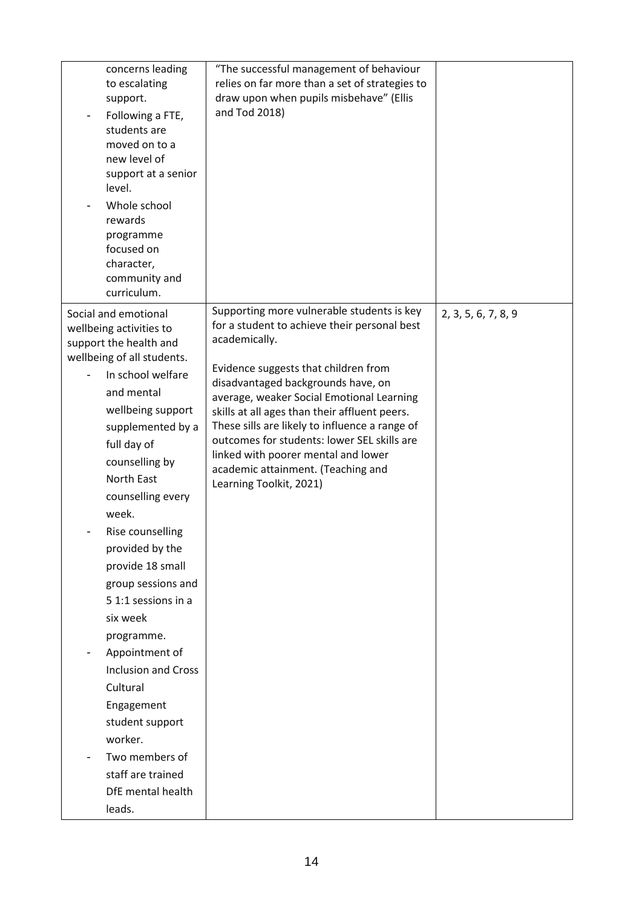| concerns leading<br>to escalating<br>support.<br>Following a FTE,<br>students are<br>moved on to a<br>new level of<br>support at a senior<br>level.<br>Whole school<br>rewards<br>programme<br>focused on<br>character,<br>community and<br>curriculum.                                                                                                                                                                                                                                                                                                                           | "The successful management of behaviour<br>relies on far more than a set of strategies to<br>draw upon when pupils misbehave" (Ellis<br>and Tod 2018)                                                                                                                                                                                                                                                                                                                                            |                     |
|-----------------------------------------------------------------------------------------------------------------------------------------------------------------------------------------------------------------------------------------------------------------------------------------------------------------------------------------------------------------------------------------------------------------------------------------------------------------------------------------------------------------------------------------------------------------------------------|--------------------------------------------------------------------------------------------------------------------------------------------------------------------------------------------------------------------------------------------------------------------------------------------------------------------------------------------------------------------------------------------------------------------------------------------------------------------------------------------------|---------------------|
| Social and emotional<br>wellbeing activities to<br>support the health and<br>wellbeing of all students.<br>In school welfare<br>and mental<br>wellbeing support<br>supplemented by a<br>full day of<br>counselling by<br>North East<br>counselling every<br>week.<br>Rise counselling<br>provided by the<br>provide 18 small<br>group sessions and<br>5 1:1 sessions in a<br>six week<br>programme.<br>Appointment of<br><b>Inclusion and Cross</b><br>Cultural<br>Engagement<br>student support<br>worker.<br>Two members of<br>staff are trained<br>DfE mental health<br>leads. | Supporting more vulnerable students is key<br>for a student to achieve their personal best<br>academically.<br>Evidence suggests that children from<br>disadvantaged backgrounds have, on<br>average, weaker Social Emotional Learning<br>skills at all ages than their affluent peers.<br>These sills are likely to influence a range of<br>outcomes for students: lower SEL skills are<br>linked with poorer mental and lower<br>academic attainment. (Teaching and<br>Learning Toolkit, 2021) | 2, 3, 5, 6, 7, 8, 9 |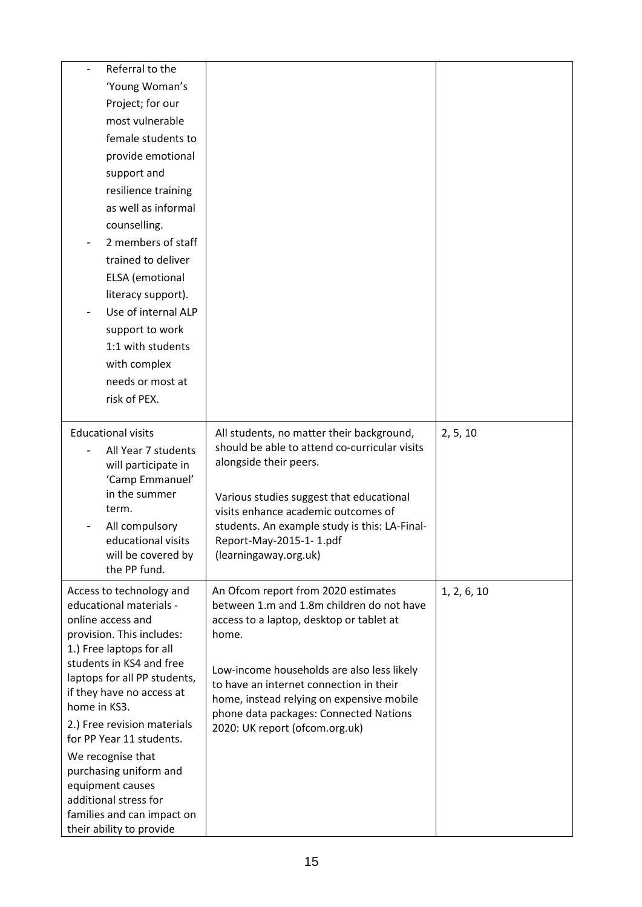| Referral to the                                           |                                                                                  |             |
|-----------------------------------------------------------|----------------------------------------------------------------------------------|-------------|
| 'Young Woman's                                            |                                                                                  |             |
| Project; for our                                          |                                                                                  |             |
| most vulnerable                                           |                                                                                  |             |
| female students to                                        |                                                                                  |             |
| provide emotional                                         |                                                                                  |             |
| support and                                               |                                                                                  |             |
| resilience training                                       |                                                                                  |             |
| as well as informal                                       |                                                                                  |             |
| counselling.                                              |                                                                                  |             |
| 2 members of staff                                        |                                                                                  |             |
| trained to deliver                                        |                                                                                  |             |
| ELSA (emotional                                           |                                                                                  |             |
| literacy support).                                        |                                                                                  |             |
| Use of internal ALP                                       |                                                                                  |             |
| support to work                                           |                                                                                  |             |
| 1:1 with students                                         |                                                                                  |             |
| with complex                                              |                                                                                  |             |
| needs or most at                                          |                                                                                  |             |
| risk of PEX.                                              |                                                                                  |             |
|                                                           |                                                                                  |             |
| <b>Educational visits</b>                                 | All students, no matter their background,                                        | 2, 5, 10    |
| All Year 7 students                                       | should be able to attend co-curricular visits<br>alongside their peers.          |             |
| will participate in<br>'Camp Emmanuel'                    |                                                                                  |             |
| in the summer                                             | Various studies suggest that educational                                         |             |
| term.                                                     | visits enhance academic outcomes of                                              |             |
| All compulsory                                            | students. An example study is this: LA-Final-                                    |             |
| educational visits                                        | Report-May-2015-1-1.pdf                                                          |             |
| will be covered by<br>the PP fund.                        | (learningaway.org.uk)                                                            |             |
|                                                           |                                                                                  |             |
| Access to technology and<br>educational materials -       | An Ofcom report from 2020 estimates<br>between 1.m and 1.8m children do not have | 1, 2, 6, 10 |
| online access and                                         | access to a laptop, desktop or tablet at                                         |             |
| provision. This includes:                                 | home.                                                                            |             |
| 1.) Free laptops for all                                  |                                                                                  |             |
| students in KS4 and free                                  | Low-income households are also less likely                                       |             |
| laptops for all PP students,<br>if they have no access at | to have an internet connection in their                                          |             |
| home in KS3.                                              | home, instead relying on expensive mobile                                        |             |
| 2.) Free revision materials                               | phone data packages: Connected Nations<br>2020: UK report (ofcom.org.uk)         |             |
| for PP Year 11 students.                                  |                                                                                  |             |
| We recognise that                                         |                                                                                  |             |
| purchasing uniform and                                    |                                                                                  |             |
| equipment causes<br>additional stress for                 |                                                                                  |             |
| families and can impact on                                |                                                                                  |             |
| their ability to provide                                  |                                                                                  |             |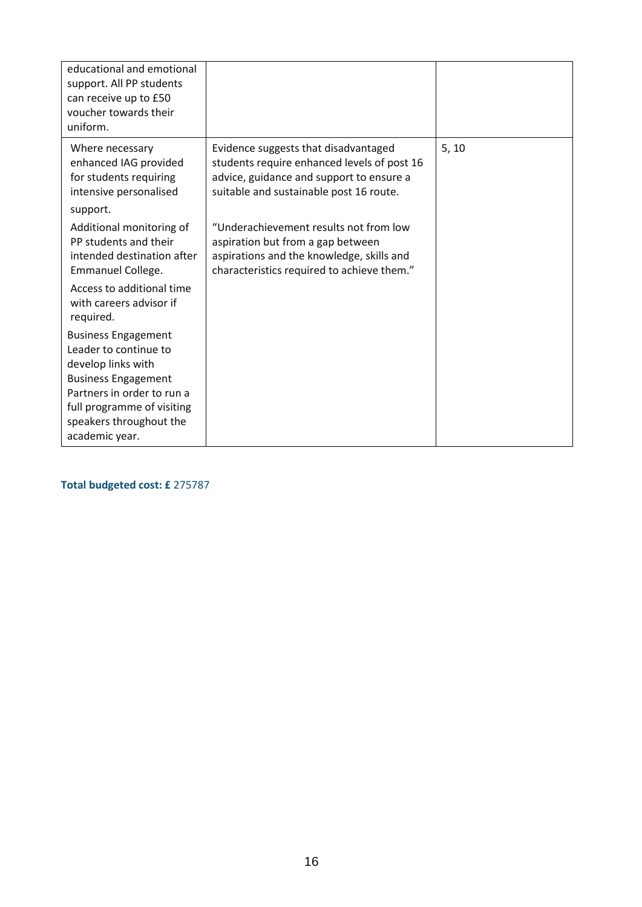| educational and emotional<br>support. All PP students<br>can receive up to £50<br>voucher towards their<br>uniform.                                                                                              |                                                                                                                                                                            |       |
|------------------------------------------------------------------------------------------------------------------------------------------------------------------------------------------------------------------|----------------------------------------------------------------------------------------------------------------------------------------------------------------------------|-------|
| Where necessary<br>enhanced IAG provided<br>for students requiring<br>intensive personalised<br>support.                                                                                                         | Evidence suggests that disadvantaged<br>students require enhanced levels of post 16<br>advice, guidance and support to ensure a<br>suitable and sustainable post 16 route. | 5, 10 |
| Additional monitoring of<br>PP students and their<br>intended destination after<br>Emmanuel College.                                                                                                             | "Underachievement results not from low<br>aspiration but from a gap between<br>aspirations and the knowledge, skills and<br>characteristics required to achieve them."     |       |
| Access to additional time<br>with careers advisor if<br>required.                                                                                                                                                |                                                                                                                                                                            |       |
| <b>Business Engagement</b><br>Leader to continue to<br>develop links with<br><b>Business Engagement</b><br>Partners in order to run a<br>full programme of visiting<br>speakers throughout the<br>academic year. |                                                                                                                                                                            |       |

**Total budgeted cost: £** 275787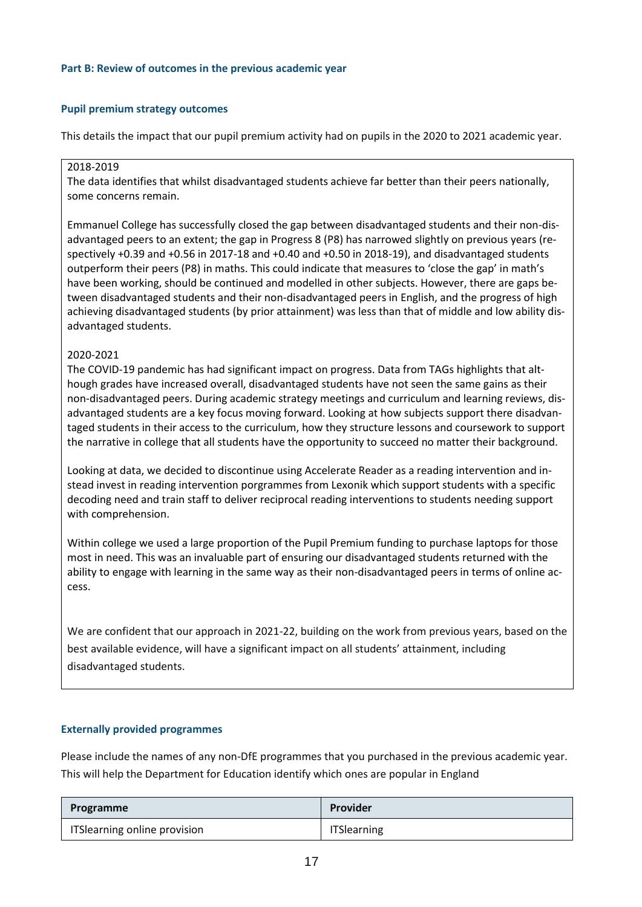### **Part B: Review of outcomes in the previous academic year**

### **Pupil premium strategy outcomes**

This details the impact that our pupil premium activity had on pupils in the 2020 to 2021 academic year.

### 2018-2019

The data identifies that whilst disadvantaged students achieve far better than their peers nationally, some concerns remain.

Emmanuel College has successfully closed the gap between disadvantaged students and their non-disadvantaged peers to an extent; the gap in Progress 8 (P8) has narrowed slightly on previous years (respectively +0.39 and +0.56 in 2017-18 and +0.40 and +0.50 in 2018-19), and disadvantaged students outperform their peers (P8) in maths. This could indicate that measures to 'close the gap' in math's have been working, should be continued and modelled in other subjects. However, there are gaps between disadvantaged students and their non-disadvantaged peers in English, and the progress of high achieving disadvantaged students (by prior attainment) was less than that of middle and low ability disadvantaged students.

### 2020-2021

The COVID-19 pandemic has had significant impact on progress. Data from TAGs highlights that although grades have increased overall, disadvantaged students have not seen the same gains as their non-disadvantaged peers. During academic strategy meetings and curriculum and learning reviews, disadvantaged students are a key focus moving forward. Looking at how subjects support there disadvantaged students in their access to the curriculum, how they structure lessons and coursework to support the narrative in college that all students have the opportunity to succeed no matter their background.

Looking at data, we decided to discontinue using Accelerate Reader as a reading intervention and instead invest in reading intervention porgrammes from Lexonik which support students with a specific decoding need and train staff to deliver reciprocal reading interventions to students needing support with comprehension.

Within college we used a large proportion of the Pupil Premium funding to purchase laptops for those most in need. This was an invaluable part of ensuring our disadvantaged students returned with the ability to engage with learning in the same way as their non-disadvantaged peers in terms of online access.

We are confident that our approach in 2021-22, building on the work from previous years, based on the best available evidence, will have a significant impact on all students' attainment, including disadvantaged students.

### **Externally provided programmes**

Please include the names of any non-DfE programmes that you purchased in the previous academic year. This will help the Department for Education identify which ones are popular in England

| Programme                    | Provider           |
|------------------------------|--------------------|
| ITSlearning online provision | <b>ITSlearning</b> |